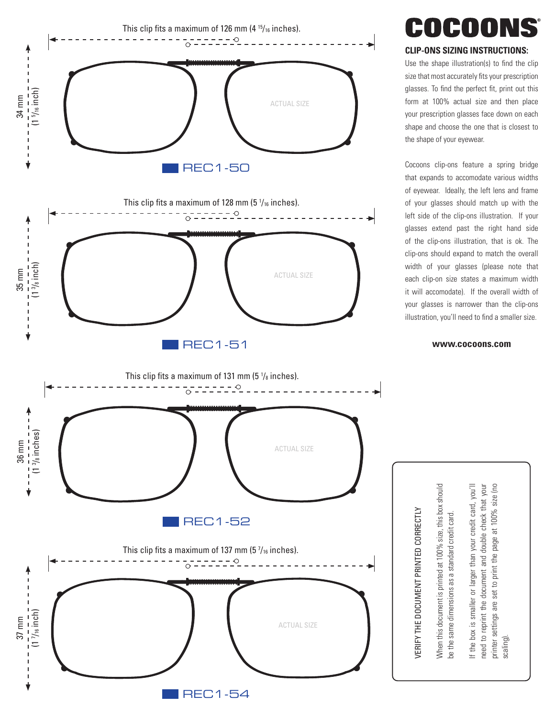

## COCOONS

### **CLIP-ONS SIZING INSTRUCTIONS:**

Use the shape illustration(s) to find the clip size that most accurately fits your prescription glasses. To find the perfect fit, print out this form at 100% actual size and then place your prescription glasses face down on each shape and choose the one that is closest to the shape of your eyewear.

Cocoons clip-ons feature a spring bridge that expands to accomodate various widths of eyewear. Ideally, the left lens and frame of your glasses should match up with the left side of the clip-ons illustration. If your glasses extend past the right hand side of the clip-ons illustration, that is ok. The clip-ons should expand to match the overall width of your glasses (please note that each clip-on size states a maximum width it will accomodate). If the overall width of your glasses is narrower than the clip-ons illustration, you'll need to find a smaller size.

#### **[www.cocoons.com](https://cocoonseyewear.com)**

When this document is printed at 100% size, this box should When this document is printed at 100% size, this box should VERIFY THE DOCUMENT PRINTED CORRECTLY be the same dimensions as a standard credit card.

VERIFY THE DOCUMENT PRINTED CORRECTLY

be the same dimensions as a standard credit card.

If the box is smaller or larger than your credit card, you'll If the box is smaller or larger than your credit card, you'll need to reprint the document and double check that your printer settings are set to print the page at 100% size (no printer settings are set to print the page at 100% size (no need to reprint the document and double check that your scaling).